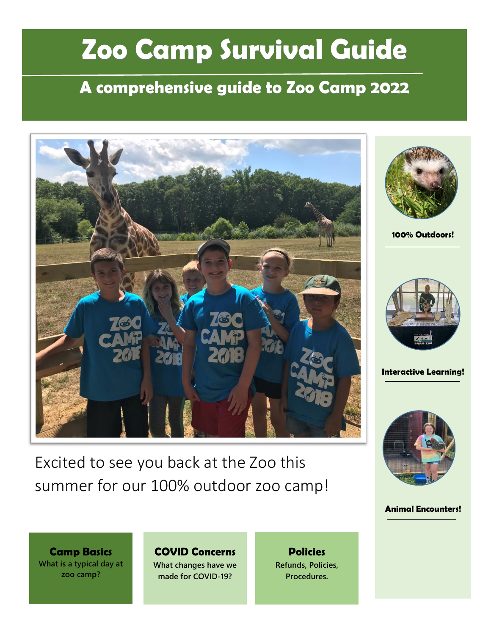# **Zoo Camp Survival Guide**

# **A comprehensive guide to Zoo Camp 2022**



Excited to see you back at the Zoo this summer for our 100% outdoor zoo camp!



**100% Outdoors!**



**Interactive Learning!**



**Animal Encounters!**

**Camp Basics What is a typical day at zoo camp?**

**COVID Concerns What changes have we made for COVID-19?**

**Policies Refunds, Policies, Procedures.**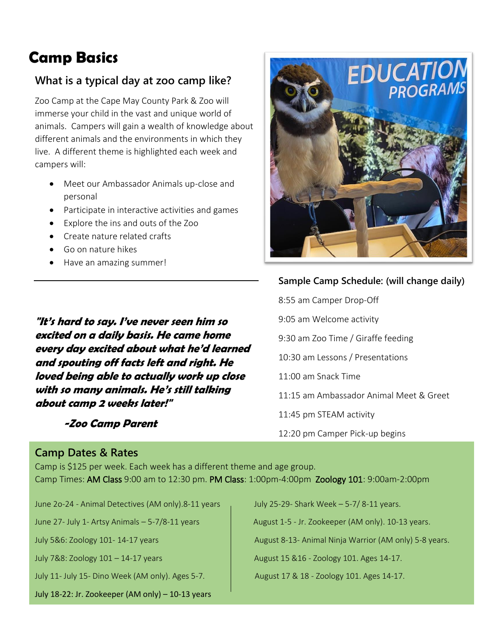# **Camp Basics**

#### **What is a typical day at zoo camp like?**

Zoo Camp at the Cape May County Park & Zoo will immerse your child in the vast and unique world of animals. Campers will gain a wealth of knowledge about different animals and the environments in which they live. A different theme is highlighted each week and campers will:

- Meet our Ambassador Animals up-close and personal
- Participate in interactive activities and games
- Explore the ins and outs of the Zoo
- Create nature related crafts
- Go on nature hikes
- Have an amazing summer!

**"It's hard to say. I've never seen him so excited on a daily basis. He came home every day excited about what he'd learned and spouting off facts left and right. He loved being able to actually work up close with so many animals. He's still talking about camp 2 weeks later!"**

#### **-Zoo Camp Parent**

#### **Camp Dates & Rates**

**EDUCATION**<br>PROGRAMS

#### **Sample Camp Schedule: (will change daily)**

8:55 am Camper Drop-Off 9:05 am Welcome activity 9:30 am Zoo Time / Giraffe feeding 10:30 am Lessons / Presentations 11:00 am Snack Time 11:15 am Ambassador Animal Meet & Greet 11:45 pm STEAM activity 12:20 pm Camper Pick-up begins

Camp is \$125 per week. Each week has a different theme and age group. Camp Times: AM Class 9:00 am to 12:30 pm. PM Class: 1:00pm-4:00pm Zoology 101: 9:00am-2:00pm

June 2o-24 - Animal Detectives (AM only).8-11 years July 25-29- Shark Week - 5-7/ 8-11 years.

July 11- July 15- Dino Week (AM only). Ages 5-7. August 17 & 18 - Zoology 101. Ages 14-17.

July 18-22: Jr. Zookeeper (AM only) – 10-13 years

June 27- July 1- Artsy Animals  $-5-7/8-11$  years  $\overline{\phantom{a}}$  August 1-5 - Jr. Zookeeper (AM only). 10-13 years.

July 5&6: Zoology 101- 14-17 years August 8-13- Animal Ninja Warrior (AM only) 5-8 years.

July 7&8: Zoology  $101 - 14-17$  years August 15 &16 - Zoology 101. Ages 14-17.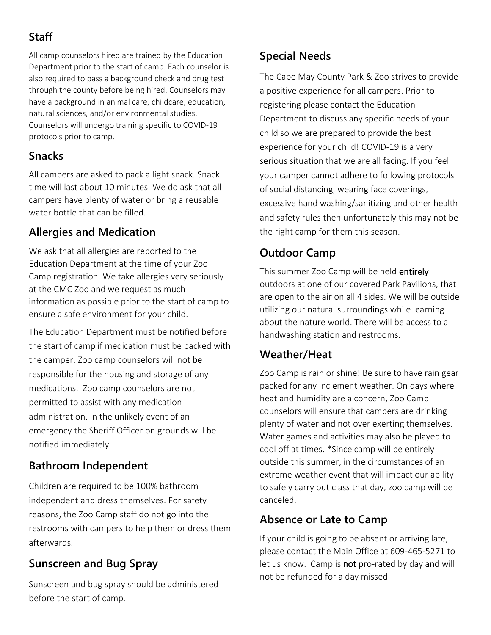# **Staff**

All camp counselors hired are trained by the Education Department prior to the start of camp. Each counselor is also required to pass a background check and drug test through the county before being hired. Counselors may have a background in animal care, childcare, education, natural sciences, and/or environmental studies. Counselors will undergo training specific to COVID-19 protocols prior to camp.

# **Snacks**

All campers are asked to pack a light snack. Snack time will last about 10 minutes. We do ask that all campers have plenty of water or bring a reusable water bottle that can be filled.

# **Allergies and Medication**

We ask that all allergies are reported to the Education Department at the time of your Zoo Camp registration. We take allergies very seriously at the CMC Zoo and we request as much information as possible prior to the start of camp to ensure a safe environment for your child.

The Education Department must be notified before the start of camp if medication must be packed with the camper. Zoo camp counselors will not be responsible for the housing and storage of any medications. Zoo camp counselors are not permitted to assist with any medication administration. In the unlikely event of an emergency the Sheriff Officer on grounds will be notified immediately.

# **Bathroom Independent**

Children are required to be 100% bathroom independent and dress themselves. For safety reasons, the Zoo Camp staff do not go into the restrooms with campers to help them or dress them afterwards.

# **Sunscreen and Bug Spray**

Sunscreen and bug spray should be administered before the start of camp.

# **Special Needs**

The Cape May County Park & Zoo strives to provide a positive experience for all campers. Prior to registering please contact the Education Department to discuss any specific needs of your child so we are prepared to provide the best experience for your child! COVID-19 is a very serious situation that we are all facing. If you feel your camper cannot adhere to following protocols of social distancing, wearing face coverings, excessive hand washing/sanitizing and other health and safety rules then unfortunately this may not be the right camp for them this season.

# **Outdoor Camp**

This summer Zoo Camp will be held **entirely** outdoors at one of our covered Park Pavilions, that are open to the air on all 4 sides. We will be outside utilizing our natural surroundings while learning about the nature world. There will be access to a handwashing station and restrooms.

# **Weather/Heat**

Zoo Camp is rain or shine! Be sure to have rain gear packed for any inclement weather. On days where heat and humidity are a concern, Zoo Camp counselors will ensure that campers are drinking plenty of water and not over exerting themselves. Water games and activities may also be played to cool off at times. \*Since camp will be entirely outside this summer, in the circumstances of an extreme weather event that will impact our ability to safely carry out class that day, zoo camp will be canceled.

# **Absence or Late to Camp**

If your child is going to be absent or arriving late, please contact the Main Office at 609-465-5271 to let us know. Camp is not pro-rated by day and will not be refunded for a day missed.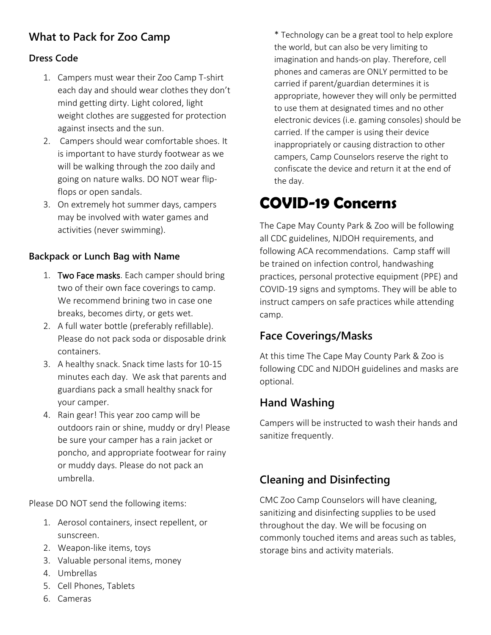### **What to Pack for Zoo Camp**

#### **Dress Code**

- 1. Campers must wear their Zoo Camp T-shirt each day and should wear clothes they don't mind getting dirty. Light colored, light weight clothes are suggested for protection against insects and the sun.
- 2. Campers should wear comfortable shoes. It is important to have sturdy footwear as we will be walking through the zoo daily and going on nature walks. DO NOT wear flipflops or open sandals.
- 3. On extremely hot summer days, campers may be involved with water games and activities (never swimming).

#### **Backpack or Lunch Bag with Name**

- 1. Two Face masks. Each camper should bring two of their own face coverings to camp. We recommend brining two in case one breaks, becomes dirty, or gets wet.
- 2. A full water bottle (preferably refillable). Please do not pack soda or disposable drink containers.
- 3. A healthy snack. Snack time lasts for 10-15 minutes each day. We ask that parents and guardians pack a small healthy snack for your camper.
- 4. Rain gear! This year zoo camp will be outdoors rain or shine, muddy or dry! Please be sure your camper has a rain jacket or poncho, and appropriate footwear for rainy or muddy days. Please do not pack an umbrella.

Please DO NOT send the following items:

- 1. Aerosol containers, insect repellent, or sunscreen.
- 2. Weapon-like items, toys
- 3. Valuable personal items, money
- 4. Umbrellas
- 5. Cell Phones, Tablets
- 6. Cameras

\* Technology can be a great tool to help explore the world, but can also be very limiting to imagination and hands-on play. Therefore, cell phones and cameras are ONLY permitted to be carried if parent/guardian determines it is appropriate, however they will only be permitted to use them at designated times and no other electronic devices (i.e. gaming consoles) should be carried. If the camper is using their device inappropriately or causing distraction to other campers, Camp Counselors reserve the right to confiscate the device and return it at the end of the day.

# **COVID-19 Concerns**

The Cape May County Park & Zoo will be following all CDC guidelines, NJDOH requirements, and following ACA recommendations. Camp staff will be trained on infection control, handwashing practices, personal protective equipment (PPE) and COVID-19 signs and symptoms. They will be able to instruct campers on safe practices while attending camp.

### **Face Coverings/Masks**

At this time The Cape May County Park & Zoo is following CDC and NJDOH guidelines and masks are optional.

### **Hand Washing**

Campers will be instructed to wash their hands and sanitize frequently.

### **Cleaning and Disinfecting**

CMC Zoo Camp Counselors will have cleaning, sanitizing and disinfecting supplies to be used throughout the day. We will be focusing on commonly touched items and areas such as tables, storage bins and activity materials.